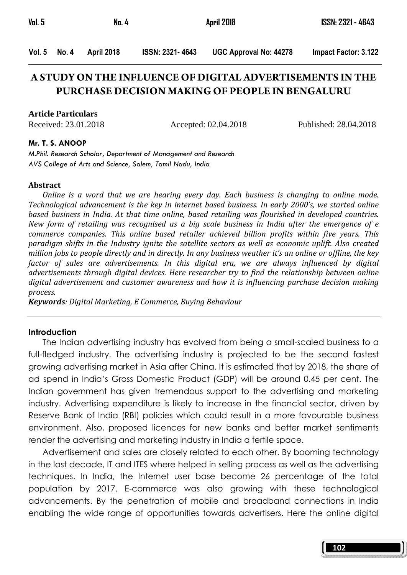| Vol. 5 |              | No. 4      |                        | April 2018                    | ISSN: 2321 - 4643    |
|--------|--------------|------------|------------------------|-------------------------------|----------------------|
|        | Vol. 5 No. 4 | April 2018 | <b>ISSN: 2321-4643</b> | <b>UGC Approval No: 44278</b> | Impact Factor: 3.122 |

# **A STUDY ON THE INFLUENCE OF DIGITAL ADVERTISEMENTS IN THE PURCHASE DECISION MAKING OF PEOPLE IN BENGALURU**

#### **Article Particulars**

Received: 23.01.2018 Accepted: 02.04.2018 Published: 28.04.2018

#### Mr. T. S. ANOOP

M.Phil. Research Scholar, Department of Management and Research AVS College of Arts and Science, Salem, Tamil Nadu, India

#### Abstract

 Online is a word that we are hearing every day. Each business is changing to online mode. Technological advancement is the key in internet based business. In early 2000's, we started online based business in India. At that time online, based retailing was flourished in developed countries. New form of retailing was recognised as a big scale business in India after the emergence of e commerce companies. This online based retailer achieved billion profits within five years. This paradigm shifts in the Industry ignite the satellite sectors as well as economic uplift. Also created million jobs to people directly and in directly. In any business weather it's an online or offline, the key factor of sales are advertisements. In this digital era, we are always influenced by digital advertisements through digital devices. Here researcher try to find the relationship between online digital advertisement and customer awareness and how it is influencing purchase decision making process.

Keywords: Digital Marketing, E Commerce, Buying Behaviour

#### **Introduction**

 The Indian advertising industry has evolved from being a small-scaled business to a full-fledged industry. The advertising industry is projected to be the second fastest growing advertising market in Asia after China. It is estimated that by 2018, the share of ad spend in India's Gross Domestic Product (GDP) will be around 0.45 per cent. The Indian government has given tremendous support to the advertising and marketing industry. Advertising expenditure is likely to increase in the financial sector, driven by Reserve Bank of India (RBI) policies which could result in a more favourable business environment. Also, proposed licences for new banks and better market sentiments render the advertising and marketing industry in India a fertile space.

 Advertisement and sales are closely related to each other. By booming technology in the last decade, IT and ITES where helped in selling process as well as the advertising techniques. In India, the Internet user base become 26 percentage of the total population by 2017. E-commerce was also growing with these technological advancements. By the penetration of mobile and broadband connections in India enabling the wide range of opportunities towards advertisers. Here the online digital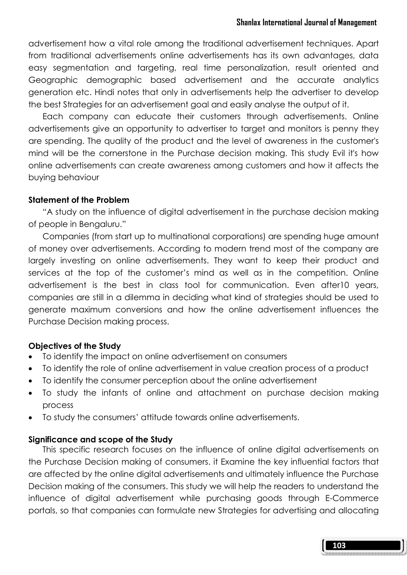advertisement how a vital role among the traditional advertisement techniques. Apart from traditional advertisements online advertisements has its own advantages, data easy segmentation and targeting, real time personalization, result oriented and Geographic demographic based advertisement and the accurate analytics generation etc. Hindi notes that only in advertisements help the advertiser to develop the best Strategies for an advertisement goal and easily analyse the output of it.

 Each company can educate their customers through advertisements. Online advertisements give an opportunity to advertiser to target and monitors is penny they are spending. The quality of the product and the level of awareness in the customer's mind will be the cornerstone in the Purchase decision making. This study Evil it's how online advertisements can create awareness among customers and how it affects the buying behaviour

## Statement of the Problem

 "A study on the influence of digital advertisement in the purchase decision making of people in Bengaluru."

 Companies (from start up to multinational corporations) are spending huge amount of money over advertisements. According to modern trend most of the company are largely investing on online advertisements. They want to keep their product and services at the top of the customer's mind as well as in the competition. Online advertisement is the best in class tool for communication. Even after10 years, companies are still in a dilemma in deciding what kind of strategies should be used to generate maximum conversions and how the online advertisement influences the Purchase Decision making process.

# Objectives of the Study

- To identify the impact on online advertisement on consumers
- To identify the role of online advertisement in value creation process of a product
- To identify the consumer perception about the online advertisement
- To study the infants of online and attachment on purchase decision making process
- To study the consumers' attitude towards online advertisements.

### Significance and scope of the Study

 This specific research focuses on the influence of online digital advertisements on the Purchase Decision making of consumers. it Examine the key influential factors that are affected by the online digital advertisements and ultimately influence the Purchase Decision making of the consumers. This study we will help the readers to understand the influence of digital advertisement while purchasing goods through E-Commerce portals, so that companies can formulate new Strategies for advertising and allocating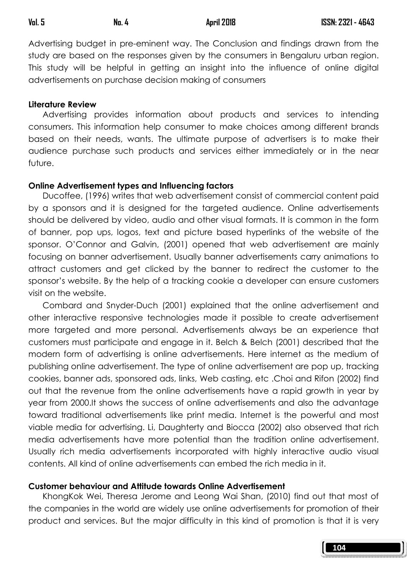Advertising budget in pre-eminent way. The Conclusion and findings drawn from the study are based on the responses given by the consumers in Bengaluru urban region. This study will be helpful in getting an insight into the influence of online digital advertisements on purchase decision making of consumers

#### Literature Review

 Advertising provides information about products and services to intending consumers. This information help consumer to make choices among different brands based on their needs, wants. The ultimate purpose of advertisers is to make their audience purchase such products and services either immediately or in the near future.

### Online Advertisement types and Influencing factors

 Ducoffee, (1996) writes that web advertisement consist of commercial content paid by a sponsors and it is designed for the targeted audience. Online advertisements should be delivered by video, audio and other visual formats. It is common in the form of banner, pop ups, logos, text and picture based hyperlinks of the website of the sponsor. O'Connor and Galvin, (2001) opened that web advertisement are mainly focusing on banner advertisement. Usually banner advertisements carry animations to attract customers and get clicked by the banner to redirect the customer to the sponsor's website. By the help of a tracking cookie a developer can ensure customers visit on the website.

 Combard and Snyder-Duch (2001) explained that the online advertisement and other interactive responsive technologies made it possible to create advertisement more targeted and more personal. Advertisements always be an experience that customers must participate and engage in it. Belch & Belch (2001) described that the modern form of advertising is online advertisements. Here internet as the medium of publishing online advertisement. The type of online advertisement are pop up, tracking cookies, banner ads, sponsored ads, links, Web casting, etc .Choi and Rifon (2002) find out that the revenue from the online advertisements have a rapid growth in year by year from 2000.It shows the success of online advertisements and also the advantage toward traditional advertisements like print media. Internet is the powerful and most viable media for advertising. Li, Daughterty and Biocca (2002) also observed that rich media advertisements have more potential than the tradition online advertisement. Usually rich media advertisements incorporated with highly interactive audio visual contents. All kind of online advertisements can embed the rich media in it.

### Customer behaviour and Attitude towards Online Advertisement

 KhongKok Wei, Theresa Jerome and Leong Wai Shan, (2010) find out that most of the companies in the world are widely use online advertisements for promotion of their product and services. But the major difficulty in this kind of promotion is that it is very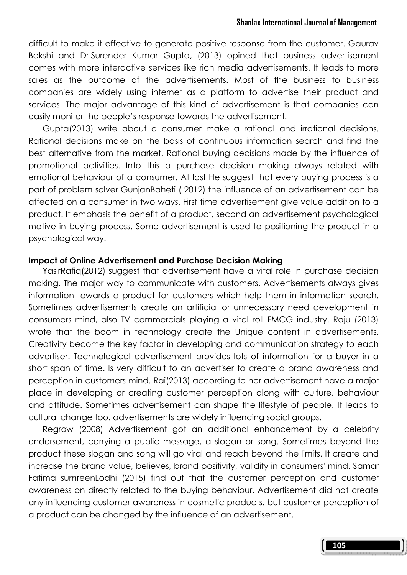difficult to make it effective to generate positive response from the customer. Gaurav Bakshi and Dr.Surender Kumar Gupta, (2013) opined that business advertisement comes with more interactive services like rich media advertisements. It leads to more sales as the outcome of the advertisements. Most of the business to business companies are widely using internet as a platform to advertise their product and services. The major advantage of this kind of advertisement is that companies can easily monitor the people's response towards the advertisement.

 Gupta(2013) write about a consumer make a rational and irrational decisions. Rational decisions make on the basis of continuous information search and find the best alternative from the market. Rational buying decisions made by the influence of promotional activities. Into this a purchase decision making always related with emotional behaviour of a consumer. At last He suggest that every buying process is a part of problem solver GunjanBaheti ( 2012) the influence of an advertisement can be affected on a consumer in two ways. First time advertisement give value addition to a product. It emphasis the benefit of a product, second an advertisement psychological motive in buying process. Some advertisement is used to positioning the product in a psychological way.

#### Impact of Online Advertisement and Purchase Decision Making

 YasirRafiq(2012) suggest that advertisement have a vital role in purchase decision making. The major way to communicate with customers. Advertisements always gives information towards a product for customers which help them in information search. Sometimes advertisements create an artificial or unnecessary need development in consumers mind, also TV commercials playing a vital roll FMCG industry. Raju (2013) wrote that the boom in technology create the Unique content in advertisements. Creativity become the key factor in developing and communication strategy to each advertiser. Technological advertisement provides lots of information for a buyer in a short span of time. Is very difficult to an advertiser to create a brand awareness and perception in customers mind. Rai(2013) according to her advertisement have a major place in developing or creating customer perception along with culture, behaviour and attitude. Sometimes advertisement can shape the lifestyle of people. It leads to cultural change too. advertisements are widely influencing social groups.

 Regrow (2008) Advertisement got an additional enhancement by a celebrity endorsement, carrying a public message, a slogan or song. Sometimes beyond the product these slogan and song will go viral and reach beyond the limits. It create and increase the brand value, believes, brand positivity, validity in consumers' mind. Samar Fatima sumreenLodhi (2015) find out that the customer perception and customer awareness on directly related to the buying behaviour. Advertisement did not create any influencing customer awareness in cosmetic products. but customer perception of a product can be changed by the influence of an advertisement.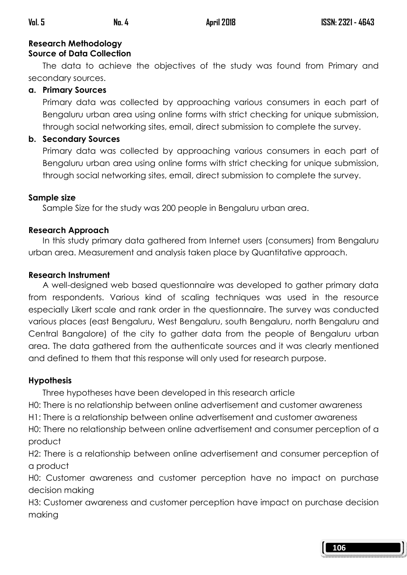#### Research Methodology Source of Data Collection

 The data to achieve the objectives of the study was found from Primary and secondary sources.

# a. Primary Sources

Primary data was collected by approaching various consumers in each part of Bengaluru urban area using online forms with strict checking for unique submission, through social networking sites, email, direct submission to complete the survey.

# b. Secondary Sources

Primary data was collected by approaching various consumers in each part of Bengaluru urban area using online forms with strict checking for unique submission, through social networking sites, email, direct submission to complete the survey.

# Sample size

Sample Size for the study was 200 people in Bengaluru urban area.

# Research Approach

 In this study primary data gathered from Internet users (consumers) from Bengaluru urban area. Measurement and analysis taken place by Quantitative approach.

# Research Instrument

 A well-designed web based questionnaire was developed to gather primary data from respondents. Various kind of scaling techniques was used in the resource especially Likert scale and rank order in the questionnaire. The survey was conducted various places (east Bengaluru, West Bengaluru, south Bengaluru, north Bengaluru and Central Bangalore) of the city to gather data from the people of Bengaluru urban area. The data gathered from the authenticate sources and it was clearly mentioned and defined to them that this response will only used for research purpose.

# Hypothesis

Three hypotheses have been developed in this research article

H0: There is no relationship between online advertisement and customer awareness

H1: There is a relationship between online advertisement and customer awareness

H0: There no relationship between online advertisement and consumer perception of a product

H2: There is a relationship between online advertisement and consumer perception of a product

H0: Customer awareness and customer perception have no impact on purchase decision making

H3: Customer awareness and customer perception have impact on purchase decision making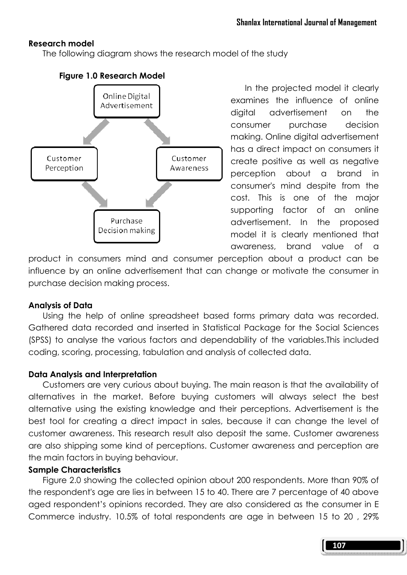## Research model

The following diagram shows the research model of the study



## Figure 1.0 Research Model

In the projected model it clearly examines the influence of online digital advertisement on the consumer purchase decision making. Online digital advertisement has a direct impact on consumers it create positive as well as negative perception about a brand in consumer's mind despite from the cost. This is one of the major supporting factor of an online advertisement. In the proposed model it is clearly mentioned that awareness, brand value of a

product in consumers mind and consumer perception about a product can be influence by an online advertisement that can change or motivate the consumer in purchase decision making process.

### Analysis of Data

 Using the help of online spreadsheet based forms primary data was recorded. Gathered data recorded and inserted in Statistical Package for the Social Sciences (SPSS) to analyse the various factors and dependability of the variables.This included coding, scoring, processing, tabulation and analysis of collected data.

# Data Analysis and Interpretation

 Customers are very curious about buying. The main reason is that the availability of alternatives in the market. Before buying customers will always select the best alternative using the existing knowledge and their perceptions. Advertisement is the best tool for creating a direct impact in sales, because it can change the level of customer awareness. This research result also deposit the same. Customer awareness are also shipping some kind of perceptions. Customer awareness and perception are the main factors in buying behaviour.

### Sample Characteristics

 Figure 2.0 showing the collected opinion about 200 respondents. More than 90% of the respondent's age are lies in between 15 to 40. There are 7 percentage of 40 above aged respondent's opinions recorded. They are also considered as the consumer in E Commerce industry. 10.5% of total respondents are age in between 15 to 20 , 29%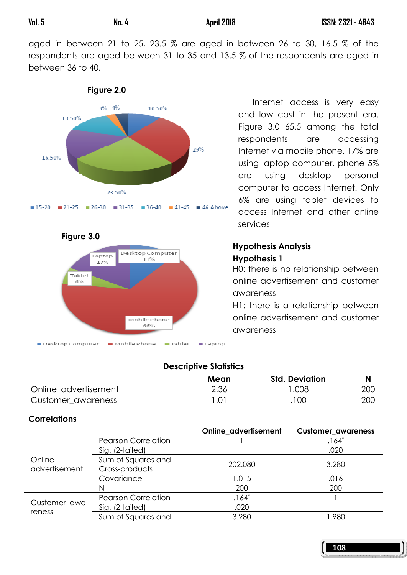aged in between 21 to 25, 23.5 % are aged in between 26 to 30, 16.5 % of the respondents are aged between 31 to 35 and 13.5 % of the respondents are aged in between 36 to 40.



Figure 2.0



 Internet access is very easy and low cost in the present era. Figure 3.0 65.5 among the total respondents are accessing Internet via mobile phone. 17% are using laptop computer, phone 5% are using desktop personal computer to access Internet. Only 6% are using tablet devices to access Internet and other online services

# Hypothesis Analysis Hypothesis 1

H0: there is no relationship between online advertisement and customer awareness

H1: there is a relationship between online advertisement and customer awareness

# Descriptive Statistics

|                      | Mean | <b>Std. Deviation</b> |     |
|----------------------|------|-----------------------|-----|
| Online advertisement | 2.36 | .008                  | 200 |
| Customer awareness   | 0    | 100                   | 200 |

# **Correlations**

|                          |                                      | Online_advertisement | <b>Customer_awareness</b> |  |
|--------------------------|--------------------------------------|----------------------|---------------------------|--|
|                          | <b>Pearson Correlation</b>           |                      | $.164*$                   |  |
|                          | Sig. (2-tailed)                      |                      | .020                      |  |
| Online_<br>advertisement | Sum of Squares and<br>Cross-products | 202.080              | 3.280                     |  |
|                          | Covariance                           | 1.015                | .016                      |  |
|                          |                                      | 200<br>200           |                           |  |
|                          | <b>Pearson Correlation</b>           | $.164*$              |                           |  |
| Customer_awa<br>reness   | Sig. (2-tailed)                      | .020                 |                           |  |
|                          | Sum of Squares and                   | 3.280                | 1.980                     |  |

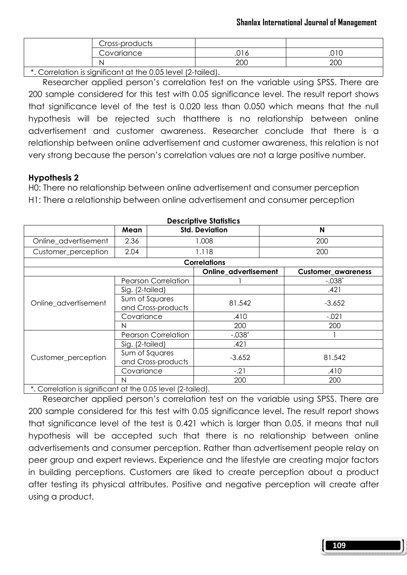|                    | Cross-products                         |           |                           |  |
|--------------------|----------------------------------------|-----------|---------------------------|--|
|                    | Covariance                             | -C<br>، ب | $\cap$ 1 $\cap$<br>.∪ । ∪ |  |
|                    |                                        | റററ       | 200                       |  |
| $\sim$<br>$\cdots$ | $\cdot$<br>$\sim$ $\sim$ $\sim$ $\sim$ | $\cdots$  |                           |  |

\*. Correlation is significant at the 0.05 level (2-tailed).

 Researcher applied person's correlation test on the variable using SPSS. There are 200 sample considered for this test with 0.05 significance level. The result report shows that significance level of the test is 0.020 less than 0.050 which means that the null hypothesis will be rejected such thatthere is no relationship between online advertisement and customer awareness. Researcher conclude that there is a relationship between online advertisement and customer awareness, this relation is not very strong because the person's correlation values are not a large positive number.

## Hypothesis 2

H0: There no relationship between online advertisement and consumer perception H1: There a relationship between online advertisement and consumer perception

| <b>DESCRIPTLE SIGNSHES</b>                                                                                                                                                                                                                         |                                                                                                      |                                                                          |                       |                |                           |  |  |  |  |
|----------------------------------------------------------------------------------------------------------------------------------------------------------------------------------------------------------------------------------------------------|------------------------------------------------------------------------------------------------------|--------------------------------------------------------------------------|-----------------------|----------------|---------------------------|--|--|--|--|
|                                                                                                                                                                                                                                                    | Mean                                                                                                 |                                                                          | <b>Std. Deviation</b> | N              |                           |  |  |  |  |
| Online_advertisement                                                                                                                                                                                                                               | 2.36                                                                                                 |                                                                          | 1.008                 | 200            |                           |  |  |  |  |
| Customer_perception                                                                                                                                                                                                                                | 2.04                                                                                                 |                                                                          | 1.118<br>200          |                |                           |  |  |  |  |
|                                                                                                                                                                                                                                                    |                                                                                                      |                                                                          | <b>Correlations</b>   |                |                           |  |  |  |  |
|                                                                                                                                                                                                                                                    |                                                                                                      |                                                                          | Online advertisement  |                | <b>Customer_awareness</b> |  |  |  |  |
|                                                                                                                                                                                                                                                    |                                                                                                      | <b>Pearson Correlation</b>                                               |                       |                | $-.038*$                  |  |  |  |  |
|                                                                                                                                                                                                                                                    |                                                                                                      |                                                                          |                       |                | .421                      |  |  |  |  |
| Online_advertisement                                                                                                                                                                                                                               |                                                                                                      |                                                                          | 81.542                |                |                           |  |  |  |  |
|                                                                                                                                                                                                                                                    |                                                                                                      |                                                                          |                       |                |                           |  |  |  |  |
|                                                                                                                                                                                                                                                    |                                                                                                      |                                                                          | .410                  |                | $-.021$                   |  |  |  |  |
|                                                                                                                                                                                                                                                    | Sig. (2-tailed)<br>Sum of Squares<br>$-3.652$<br>and Cross-products<br>Covariance<br>200<br>200<br>N |                                                                          |                       |                |                           |  |  |  |  |
|                                                                                                                                                                                                                                                    |                                                                                                      | <b>Pearson Correlation</b>                                               | $-.038*$              | 81.542<br>.410 |                           |  |  |  |  |
|                                                                                                                                                                                                                                                    | Sig. (2-tailed)                                                                                      |                                                                          | .421                  |                |                           |  |  |  |  |
| Customer_perception                                                                                                                                                                                                                                | Sum of Squares<br>and Cross-products                                                                 |                                                                          | $-3.652$              |                |                           |  |  |  |  |
|                                                                                                                                                                                                                                                    | Covariance                                                                                           |                                                                          | $-.21$                |                |                           |  |  |  |  |
|                                                                                                                                                                                                                                                    | N                                                                                                    |                                                                          | 200                   |                | 200                       |  |  |  |  |
| $\mathbf{r}$ , and the contract of the contract of the contract of the contract of the contract of the contract of the contract of the contract of the contract of the contract of the contract of the contract of the contract o<br>$\sim$ $\sim$ | .                                                                                                    | $\sim$ $\sim$ $\sim$ $\sim$ $\sim$<br>$\sim$ $\sim$ $\sim$ $\sim$ $\sim$ |                       |                |                           |  |  |  |  |

Descriptive Statistics

\*. Correlation is significant at the 0.05 level (2-tailed).

 Researcher applied person's correlation test on the variable using SPSS. There are 200 sample considered for this test with 0.05 significance level. The result report shows that significance level of the test is 0.421 which is larger than 0.05, it means that null hypothesis will be accepted such that there is no relationship between online advertisements and consumer perception. Rather than advertisement people relay on peer group and expert reviews. Experience and the lifestyle are creating major factors in building perceptions. Customers are liked to create perception about a product after testing its physical attributes. Positive and negative perception will create after using a product.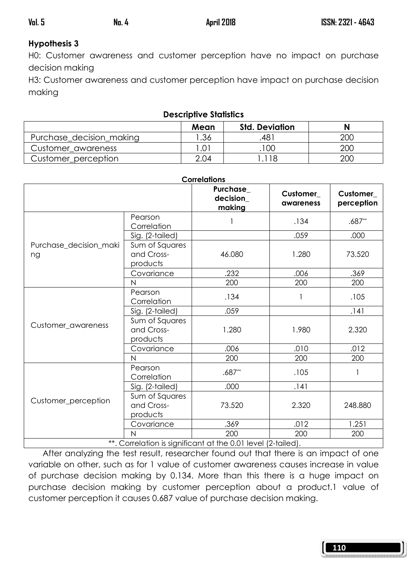# Hypothesis 3

H0: Customer awareness and customer perception have no impact on purchase decision making

H3: Customer awareness and customer perception have impact on purchase decision making

| <b>Descriptive Statistics</b> |       |                       |     |  |  |  |  |  |  |  |
|-------------------------------|-------|-----------------------|-----|--|--|--|--|--|--|--|
|                               | Mean  | <b>Std. Deviation</b> |     |  |  |  |  |  |  |  |
| Purchase decision making      | .36   | .481                  | 200 |  |  |  |  |  |  |  |
| Customer awareness            | l .01 | .100                  | 200 |  |  |  |  |  |  |  |
| Customer_perception           | 2.04  | 118                   | 200 |  |  |  |  |  |  |  |

| <b>Correlations</b>          |                                          |                                |                                                                                                                                                                                                                                                                                                         |                        |  |  |  |  |
|------------------------------|------------------------------------------|--------------------------------|---------------------------------------------------------------------------------------------------------------------------------------------------------------------------------------------------------------------------------------------------------------------------------------------------------|------------------------|--|--|--|--|
|                              |                                          | Purchase<br>decision<br>making | Customer<br>awareness                                                                                                                                                                                                                                                                                   | Customer<br>perception |  |  |  |  |
|                              | Pearson<br>Correlation                   |                                | .134                                                                                                                                                                                                                                                                                                    | $.687**$               |  |  |  |  |
|                              | Sig. (2-tailed)                          |                                | .059                                                                                                                                                                                                                                                                                                    | .000                   |  |  |  |  |
| Purchase_decision_maki<br>ng | Sum of Squares<br>and Cross-<br>products | 46.080                         | 1.280                                                                                                                                                                                                                                                                                                   | 73.520                 |  |  |  |  |
|                              | Covariance                               | .232                           | .006                                                                                                                                                                                                                                                                                                    | .369                   |  |  |  |  |
|                              | N                                        | 200                            | 200<br>200<br>.134<br>.105<br>.059<br>.141<br>1.280<br>1.980<br>2.320<br>.010<br>.012<br>.006<br>200<br>200<br>200<br>$.687**$<br>.105<br>1<br>.000<br>.141<br>73.520<br>2.320<br>248.880<br>.369<br>.012<br>1.251<br>200<br>200<br>200<br>**. Correlation is significant at the 0.01 level (2-tailed). |                        |  |  |  |  |
|                              | Pearson<br>Correlation                   |                                |                                                                                                                                                                                                                                                                                                         |                        |  |  |  |  |
|                              | Sig. (2-tailed)                          |                                |                                                                                                                                                                                                                                                                                                         |                        |  |  |  |  |
| Customer_awareness           | Sum of Squares<br>and Cross-<br>products |                                |                                                                                                                                                                                                                                                                                                         |                        |  |  |  |  |
|                              | Covariance                               |                                |                                                                                                                                                                                                                                                                                                         |                        |  |  |  |  |
|                              | N                                        |                                |                                                                                                                                                                                                                                                                                                         |                        |  |  |  |  |
|                              | Pearson<br>Correlation                   |                                |                                                                                                                                                                                                                                                                                                         |                        |  |  |  |  |
|                              | Sig. (2-tailed)                          |                                |                                                                                                                                                                                                                                                                                                         |                        |  |  |  |  |
| Customer_perception          | Sum of Squares<br>and Cross-<br>products |                                |                                                                                                                                                                                                                                                                                                         |                        |  |  |  |  |
|                              | Covariance                               |                                |                                                                                                                                                                                                                                                                                                         |                        |  |  |  |  |
|                              | $\overline{N}$                           |                                |                                                                                                                                                                                                                                                                                                         |                        |  |  |  |  |
|                              |                                          |                                |                                                                                                                                                                                                                                                                                                         |                        |  |  |  |  |

 After analyzing the test result, researcher found out that there is an impact of one variable on other, such as for 1 value of customer awareness causes increase in value of purchase decision making by 0.134. More than this there is a huge impact on purchase decision making by customer perception about a product.1 value of customer perception it causes 0.687 value of purchase decision making.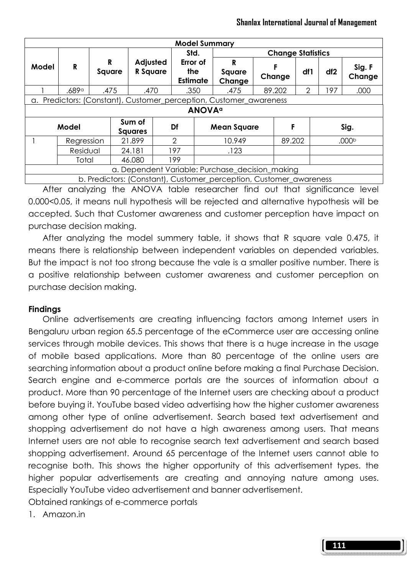| <b>Model Summary</b> |                                                                            |        |      |                      |  |                                    |                                                                    |  |             |     |                 |                   |
|----------------------|----------------------------------------------------------------------------|--------|------|----------------------|--|------------------------------------|--------------------------------------------------------------------|--|-------------|-----|-----------------|-------------------|
|                      |                                                                            |        |      |                      |  | Std.                               | <b>Change Statistics</b>                                           |  |             |     |                 |                   |
| Model                | R                                                                          | Square | R    | Adjusted<br>R Square |  | Error of<br>the<br><b>Estimate</b> | R<br>Square<br>Change                                              |  | F<br>Change | df1 | df <sub>2</sub> | Sig. F<br>Change  |
|                      | .689 <sup>a</sup>                                                          |        | .475 | .470                 |  | .350                               | .475                                                               |  | 89.202      | 2   | 197             | .000              |
|                      | a. Predictors: (Constant), Customer_perception, Customer_awareness         |        |      |                      |  |                                    |                                                                    |  |             |     |                 |                   |
|                      | <b>ANOVA</b> <sup>a</sup>                                                  |        |      |                      |  |                                    |                                                                    |  |             |     |                 |                   |
|                      | Sum of<br>Model<br>Df<br>Sig.<br>F<br><b>Mean Square</b><br><b>Squares</b> |        |      |                      |  |                                    |                                                                    |  |             |     |                 |                   |
|                      | Regression                                                                 |        |      | 21.899               |  | 2                                  | 10.949                                                             |  | 89.202      |     |                 | .000 <sup>b</sup> |
|                      | Residual<br>197<br>.123<br>24.181                                          |        |      |                      |  |                                    |                                                                    |  |             |     |                 |                   |
|                      | Total                                                                      |        |      | 46.080               |  | 199                                |                                                                    |  |             |     |                 |                   |
|                      | a. Dependent Variable: Purchase_decision_making                            |        |      |                      |  |                                    |                                                                    |  |             |     |                 |                   |
|                      |                                                                            |        |      |                      |  |                                    | b. Predictors: (Constant), Customer perception, Customer awareness |  |             |     |                 |                   |

 After analyzing the ANOVA table researcher find out that significance level 0.000<0.05, it means null hypothesis will be rejected and alternative hypothesis will be accepted. Such that Customer awareness and customer perception have impact on purchase decision making.

 After analyzing the model summery table, it shows that R square vale 0.475, it means there is relationship between independent variables on depended variables. But the impact is not too strong because the vale is a smaller positive number. There is a positive relationship between customer awareness and customer perception on purchase decision making.

### Findings

 Online advertisements are creating influencing factors among Internet users in Bengaluru urban region 65.5 percentage of the eCommerce user are accessing online services through mobile devices. This shows that there is a huge increase in the usage of mobile based applications. More than 80 percentage of the online users are searching information about a product online before making a final Purchase Decision. Search engine and e-commerce portals are the sources of information about a product. More than 90 percentage of the Internet users are checking about a product before buying it. YouTube based video advertising how the higher customer awareness among other type of online advertisement. Search based text advertisement and shopping advertisement do not have a high awareness among users. That means Internet users are not able to recognise search text advertisement and search based shopping advertisement. Around 65 percentage of the Internet users cannot able to recognise both. This shows the higher opportunity of this advertisement types. the higher popular advertisements are creating and annoying nature among uses. Especially YouTube video advertisement and banner advertisement.

Obtained rankings of e-commerce portals

1. Amazon.in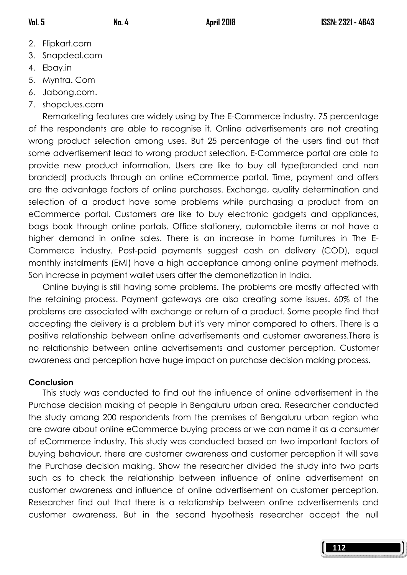- 2. Flipkart.com
- 3. Snapdeal.com
- 4. Ebay.in
- 5. Myntra. Com
- 6. Jabong.com.
- 7. shopclues.com

 Remarketing features are widely using by The E-Commerce industry. 75 percentage of the respondents are able to recognise it. Online advertisements are not creating wrong product selection among uses. But 25 percentage of the users find out that some advertisement lead to wrong product selection. E-Commerce portal are able to provide new product information. Users are like to buy all type(branded and non branded) products through an online eCommerce portal. Time, payment and offers are the advantage factors of online purchases. Exchange, quality determination and selection of a product have some problems while purchasing a product from an eCommerce portal. Customers are like to buy electronic gadgets and appliances, bags book through online portals. Office stationery, automobile items or not have a higher demand in online sales. There is an increase in home furnitures in The E-Commerce industry. Post-paid payments suggest cash on delivery (COD), equal monthly instalments (EMI) have a high acceptance among online payment methods. Son increase in payment wallet users after the demonetization in India.

 Online buying is still having some problems. The problems are mostly affected with the retaining process. Payment gateways are also creating some issues. 60% of the problems are associated with exchange or return of a product. Some people find that accepting the delivery is a problem but it's very minor compared to others. There is a positive relationship between online advertisements and customer awareness.There is no relationship between online advertisements and customer perception. Customer awareness and perception have huge impact on purchase decision making process.

# Conclusion

 This study was conducted to find out the influence of online advertisement in the Purchase decision making of people in Bengaluru urban area. Researcher conducted the study among 200 respondents from the premises of Bengaluru urban region who are aware about online eCommerce buying process or we can name it as a consumer of eCommerce industry. This study was conducted based on two important factors of buying behaviour, there are customer awareness and customer perception it will save the Purchase decision making. Show the researcher divided the study into two parts such as to check the relationship between influence of online advertisement on customer awareness and influence of online advertisement on customer perception. Researcher find out that there is a relationship between online advertisements and customer awareness. But in the second hypothesis researcher accept the null

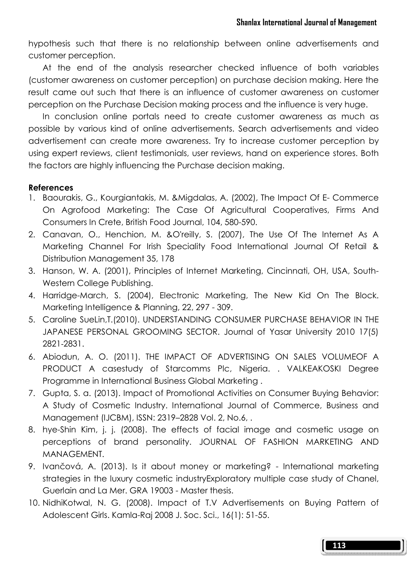hypothesis such that there is no relationship between online advertisements and customer perception.

 At the end of the analysis researcher checked influence of both variables (customer awareness on customer perception) on purchase decision making. Here the result came out such that there is an influence of customer awareness on customer perception on the Purchase Decision making process and the influence is very huge.

 In conclusion online portals need to create customer awareness as much as possible by various kind of online advertisements. Search advertisements and video advertisement can create more awareness. Try to increase customer perception by using expert reviews, client testimonials, user reviews, hand on experience stores. Both the factors are highly influencing the Purchase decision making.

### References

- 1. Baourakis, G., Kourgiantakis, M. &Migdalas, A. (2002), The Impact Of E- Commerce On Agrofood Marketing: The Case Of Agricultural Cooperatives, Firms And Consumers In Crete, British Food Journal, 104, 580-590.
- 2. Canavan, O., Henchion, M. &O'reilly, S. (2007), The Use Of The Internet As A Marketing Channel For Irish Speciality Food International Journal Of Retail & Distribution Management 35, 178
- 3. Hanson, W. A. (2001), Principles of Internet Marketing, Cincinnati, OH, USA, South-Western College Publishing.
- 4. Harridge-March, S. (2004), Electronic Marketing, The New Kid On The Block. Marketing Intelligence & Planning, 22, 297 - 309.
- 5. Caroline SueLin,T.(2010). UNDERSTANDING CONSUMER PURCHASE BEHAVIOR IN THE JAPANESE PERSONAL GROOMING SECTOR. Journal of Yasar University 2010 17(5) 2821‐2831.
- 6. Abiodun, A. O. (2011). THE IMPACT OF ADVERTISING ON SALES VOLUMEOF A PRODUCT A casestudy of Starcomms Plc, Nigeria. . VALKEAKOSKI Degree Programme in International Business Global Marketing .
- 7. Gupta, S. a. (2013). Impact of Promotional Activities on Consumer Buying Behavior: A Study of Cosmetic Industry. International Journal of Commerce, Business and Management (IJCBM), ISSN: 2319–2828 Vol. 2, No.6, .
- 8. hye-Shin Kim, j. j. (2008). The effects of facial image and cosmetic usage on perceptions of brand personality. JOURNAL OF FASHION MARKETING AND MANAGEMENT.
- 9. Ivančová, A. (2013). Is it about money or marketing? International marketing strategies in the luxury cosmetic industryExploratory multiple case study of Chanel, Guerlain and La Mer. GRA 19003 - Master thesis.
- 10. NidhiKotwal, N. G. (2008). Impact of T.V Advertisements on Buying Pattern of Adolescent Girls. Kamla-Raj 2008 J. Soc. Sci., 16(1): 51-55.